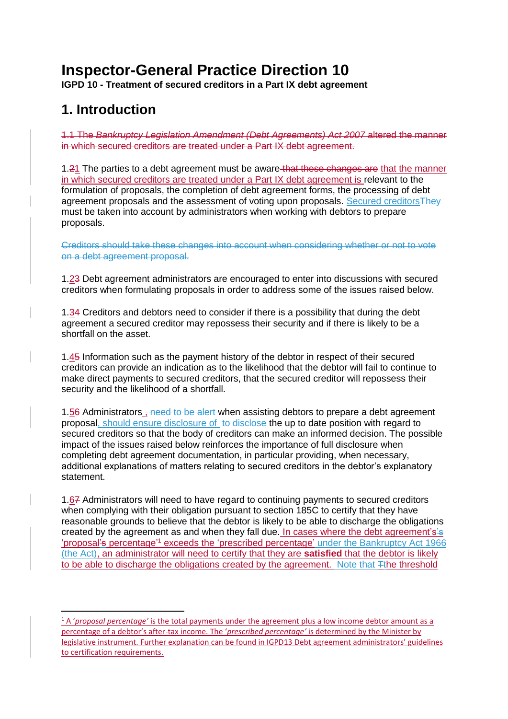# **Inspector-General Practice Direction 10**

**IGPD 10 - Treatment of secured creditors in a Part IX debt agreement**

## **1. Introduction**

**.** 

1.1 The *Bankruptcy Legislation Amendment (Debt Agreements) Act 2007* altered the manner in which secured creditors are treated under a Part IX debt agreement.

1.21 The parties to a debt agreement must be aware that these changes are that the manner in which secured creditors are treated under a Part IX debt agreement is relevant to the formulation of proposals, the completion of debt agreement forms, the processing of debt agreement proposals and the assessment of voting upon proposals. Secured creditorsThey must be taken into account by administrators when working with debtors to prepare proposals.

Creditors should take these changes into account when considering whether or not to vote on a debt agreement proposal.

1.23 Debt agreement administrators are encouraged to enter into discussions with secured creditors when formulating proposals in order to address some of the issues raised below.

1.34 Creditors and debtors need to consider if there is a possibility that during the debt agreement a secured creditor may repossess their security and if there is likely to be a shortfall on the asset.

1.45 Information such as the payment history of the debtor in respect of their secured creditors can provide an indication as to the likelihood that the debtor will fail to continue to make direct payments to secured creditors, that the secured creditor will repossess their security and the likelihood of a shortfall.

1.56 Administrators <del>, need to be alert</del> when assisting debtors to prepare a debt agreement proposal, should ensure disclosure of to disclose the up to date position with regard to secured creditors so that the body of creditors can make an informed decision. The possible impact of the issues raised below reinforces the importance of full disclosure when completing debt agreement documentation, in particular providing, when necessary, additional explanations of matters relating to secured creditors in the debtor's explanatory statement.

1.67 Administrators will need to have regard to continuing payments to secured creditors when complying with their obligation pursuant to section 185C to certify that they have reasonable grounds to believe that the debtor is likely to be able to discharge the obligations created by the agreement as and when they fall due. In cases where the debt agreement's's 'proposal's percentage<sup>'1</sup> exceeds the 'prescribed percentage' under the Bankruptcy Act 1966 (the Act), an administrator will need to certify that they are **satisfied** that the debtor is likely to be able to discharge the obligations created by the agreement. Note that  $\pm$ the threshold

<sup>1</sup> A '*proposal percentage'* is the total payments under the agreement plus a low income debtor amount as a percentage of a debtor's after-tax income. The '*prescribed percentage'* is determined by the Minister by legislative instrument. Further explanation can be found in IGPD13 Debt agreement administrators' guidelines to certification requirements.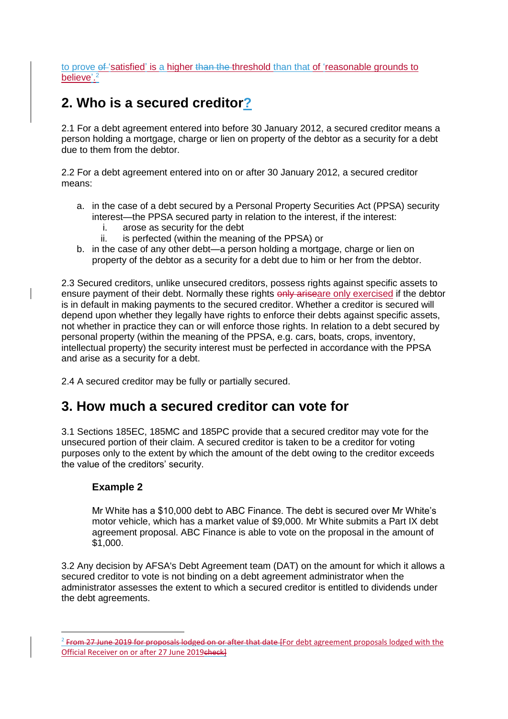to prove  $\theta$  'satisfied' is a higher than the threshold than that of 'reasonable grounds to believe'.<sup>2</sup>

## **2. Who is a secured creditor?**

2.1 For a debt agreement entered into before 30 January 2012, a secured creditor means a person holding a mortgage, charge or lien on property of the debtor as a security for a debt due to them from the debtor.

2.2 For a debt agreement entered into on or after 30 January 2012, a secured creditor means:

- a. in the case of a debt secured by a Personal Property Securities Act (PPSA) security interest—the PPSA secured party in relation to the interest, if the interest:
	- i. arose as security for the debt
	- ii. is perfected (within the meaning of the PPSA) or
- b. in the case of any other debt—a person holding a mortgage, charge or lien on property of the debtor as a security for a debt due to him or her from the debtor.

2.3 Secured creditors, unlike unsecured creditors, possess rights against specific assets to ensure payment of their debt. Normally these rights only ariseare only exercised if the debtor is in default in making payments to the secured creditor. Whether a creditor is secured will depend upon whether they legally have rights to enforce their debts against specific assets, not whether in practice they can or will enforce those rights. In relation to a debt secured by personal property (within the meaning of the PPSA, e.g. cars, boats, crops, inventory, intellectual property) the security interest must be perfected in accordance with the PPSA and arise as a security for a debt.

2.4 A secured creditor may be fully or partially secured.

## **3. How much a secured creditor can vote for**

3.1 Sections 185EC, 185MC and 185PC provide that a secured creditor may vote for the unsecured portion of their claim. A secured creditor is taken to be a creditor for voting purposes only to the extent by which the amount of the debt owing to the creditor exceeds the value of the creditors' security.

#### **Example 2**

**.** 

Mr White has a \$10,000 debt to ABC Finance. The debt is secured over Mr White's motor vehicle, which has a market value of \$9,000. Mr White submits a Part IX debt agreement proposal. ABC Finance is able to vote on the proposal in the amount of \$1,000.

3.2 Any decision by AFSA's Debt Agreement team (DAT) on the amount for which it allows a secured creditor to vote is not binding on a debt agreement administrator when the administrator assesses the extent to which a secured creditor is entitled to dividends under the debt agreements.

<sup>&</sup>lt;sup>2</sup> From 27 June 2019 for proposals lodged on or after that date [For debt agreement proposals lodged with the Official Receiver on or after 27 June 2019check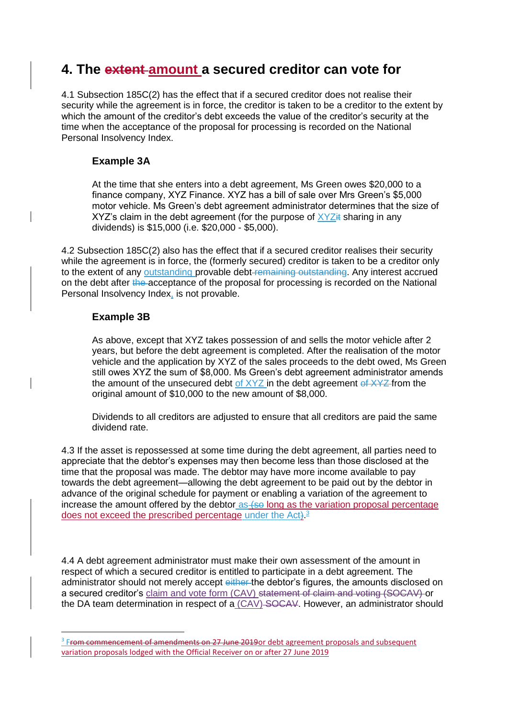## **4. The extent amount a secured creditor can vote for**

4.1 Subsection 185C(2) has the effect that if a secured creditor does not realise their security while the agreement is in force, the creditor is taken to be a creditor to the extent by which the amount of the creditor's debt exceeds the value of the creditor's security at the time when the acceptance of the proposal for processing is recorded on the National Personal Insolvency Index.

#### **Example 3A**

At the time that she enters into a debt agreement, Ms Green owes \$20,000 to a finance company, XYZ Finance. XYZ has a bill of sale over Mrs Green's \$5,000 motor vehicle. Ms Green's debt agreement administrator determines that the size of XYZ's claim in the debt agreement (for the purpose of  $XYZ<sub>i</sub>$  sharing in any dividends) is \$15,000 (i.e. \$20,000 - \$5,000).

4.2 Subsection 185C(2) also has the effect that if a secured creditor realises their security while the agreement is in force, the (formerly secured) creditor is taken to be a creditor only to the extent of any outstanding provable debt-remaining outstanding. Any interest accrued on the debt after the acceptance of the proposal for processing is recorded on the National Personal Insolvency Index, is not provable.

### **Example 3B**

**.** 

As above, except that XYZ takes possession of and sells the motor vehicle after 2 years, but before the debt agreement is completed. After the realisation of the motor vehicle and the application by XYZ of the sales proceeds to the debt owed, Ms Green still owes XYZ the sum of \$8,000. Ms Green's debt agreement administrator amends the amount of the unsecured debt of  $XYZ$  in the debt agreement of  $XYZ$  from the original amount of \$10,000 to the new amount of \$8,000.

Dividends to all creditors are adjusted to ensure that all creditors are paid the same dividend rate.

4.3 If the asset is repossessed at some time during the debt agreement, all parties need to appreciate that the debtor's expenses may then become less than those disclosed at the time that the proposal was made. The debtor may have more income available to pay towards the debt agreement—allowing the debt agreement to be paid out by the debtor in advance of the original schedule for payment or enabling a variation of the agreement to increase the amount offered by the debtor as (so long as the variation proposal percentage does not exceed the prescribed percentage under the Act).<sup>3</sup>

4.4 A debt agreement administrator must make their own assessment of the amount in respect of which a secured creditor is entitled to participate in a debt agreement. The administrator should not merely accept either the debtor's figures, the amounts disclosed on a secured creditor's claim and vote form (CAV) statement of claim and voting (SOCAV) or the DA team determination in respect of a (CAV) SOCAV. However, an administrator should

<sup>&</sup>lt;sup>3</sup> From commencement of amendments on 27 June 2019 or debt agreement proposals and subsequent variation proposals lodged with the Official Receiver on or after 27 June 2019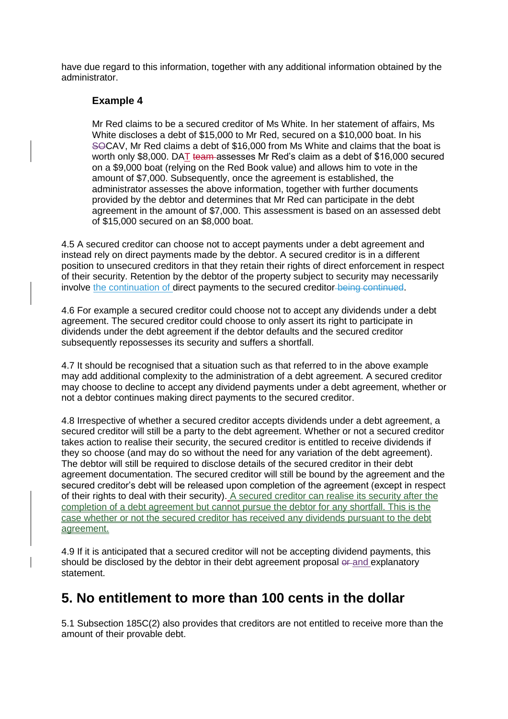have due regard to this information, together with any additional information obtained by the administrator.

#### **Example 4**

Mr Red claims to be a secured creditor of Ms White. In her statement of affairs, Ms White discloses a debt of \$15,000 to Mr Red, secured on a \$10,000 boat. In his SOCAV, Mr Red claims a debt of \$16,000 from Ms White and claims that the boat is worth only \$8,000. DAT team assesses Mr Red's claim as a debt of \$16,000 secured on a \$9,000 boat (relying on the Red Book value) and allows him to vote in the amount of \$7,000. Subsequently, once the agreement is established, the administrator assesses the above information, together with further documents provided by the debtor and determines that Mr Red can participate in the debt agreement in the amount of \$7,000. This assessment is based on an assessed debt of \$15,000 secured on an \$8,000 boat.

4.5 A secured creditor can choose not to accept payments under a debt agreement and instead rely on direct payments made by the debtor. A secured creditor is in a different position to unsecured creditors in that they retain their rights of direct enforcement in respect of their security. Retention by the debtor of the property subject to security may necessarily involve the continuation of direct payments to the secured creditor being continued.

4.6 For example a secured creditor could choose not to accept any dividends under a debt agreement. The secured creditor could choose to only assert its right to participate in dividends under the debt agreement if the debtor defaults and the secured creditor subsequently repossesses its security and suffers a shortfall.

4.7 It should be recognised that a situation such as that referred to in the above example may add additional complexity to the administration of a debt agreement. A secured creditor may choose to decline to accept any dividend payments under a debt agreement, whether or not a debtor continues making direct payments to the secured creditor.

4.8 Irrespective of whether a secured creditor accepts dividends under a debt agreement, a secured creditor will still be a party to the debt agreement. Whether or not a secured creditor takes action to realise their security, the secured creditor is entitled to receive dividends if they so choose (and may do so without the need for any variation of the debt agreement). The debtor will still be required to disclose details of the secured creditor in their debt agreement documentation. The secured creditor will still be bound by the agreement and the secured creditor's debt will be released upon completion of the agreement (except in respect of their rights to deal with their security). A secured creditor can realise its security after the completion of a debt agreement but cannot pursue the debtor for any shortfall. This is the case whether or not the secured creditor has received any dividends pursuant to the debt agreement.

4.9 If it is anticipated that a secured creditor will not be accepting dividend payments, this should be disclosed by the debtor in their debt agreement proposal or and explanatory statement.

## **5. No entitlement to more than 100 cents in the dollar**

5.1 Subsection 185C(2) also provides that creditors are not entitled to receive more than the amount of their provable debt.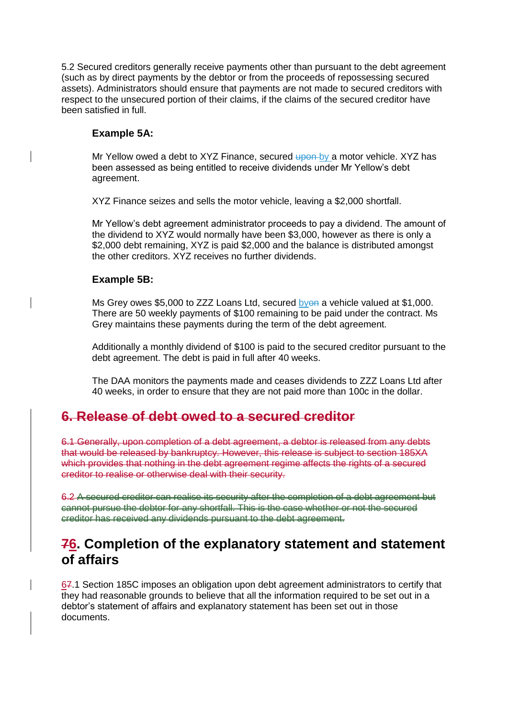5.2 Secured creditors generally receive payments other than pursuant to the debt agreement (such as by direct payments by the debtor or from the proceeds of repossessing secured assets). Administrators should ensure that payments are not made to secured creditors with respect to the unsecured portion of their claims, if the claims of the secured creditor have been satisfied in full.

#### **Example 5A:**

Mr Yellow owed a debt to XYZ Finance, secured upon by a motor vehicle. XYZ has been assessed as being entitled to receive dividends under Mr Yellow's debt agreement.

XYZ Finance seizes and sells the motor vehicle, leaving a \$2,000 shortfall.

Mr Yellow's debt agreement administrator proceeds to pay a dividend. The amount of the dividend to XYZ would normally have been \$3,000, however as there is only a \$2,000 debt remaining, XYZ is paid \$2,000 and the balance is distributed amongst the other creditors. XYZ receives no further dividends.

#### **Example 5B:**

Ms Grey owes \$5,000 to ZZZ Loans Ltd, secured byon a vehicle valued at \$1,000. There are 50 weekly payments of \$100 remaining to be paid under the contract. Ms Grey maintains these payments during the term of the debt agreement.

Additionally a monthly dividend of \$100 is paid to the secured creditor pursuant to the debt agreement. The debt is paid in full after 40 weeks.

The DAA monitors the payments made and ceases dividends to ZZZ Loans Ltd after 40 weeks, in order to ensure that they are not paid more than 100c in the dollar.

## **6. Release of debt owed to a secured creditor**

6.1 Generally, upon completion of a debt agreement, a debtor is released from any debts that would be released by bankruptcy. However, this release is subject to section 185XA which provides that nothing in the debt agreement regime affects the rights of a secured creditor to realise or otherwise deal with their security.

6.2 A secured creditor can realise its security after the completion of a debt agreement but cannot pursue the debtor for any shortfall. This is the case whether or not the secured creditor has received any dividends pursuant to the debt agreement.

## **76. Completion of the explanatory statement and statement of affairs**

67.1 Section 185C imposes an obligation upon debt agreement administrators to certify that they had reasonable grounds to believe that all the information required to be set out in a debtor's statement of affairs and explanatory statement has been set out in those documents.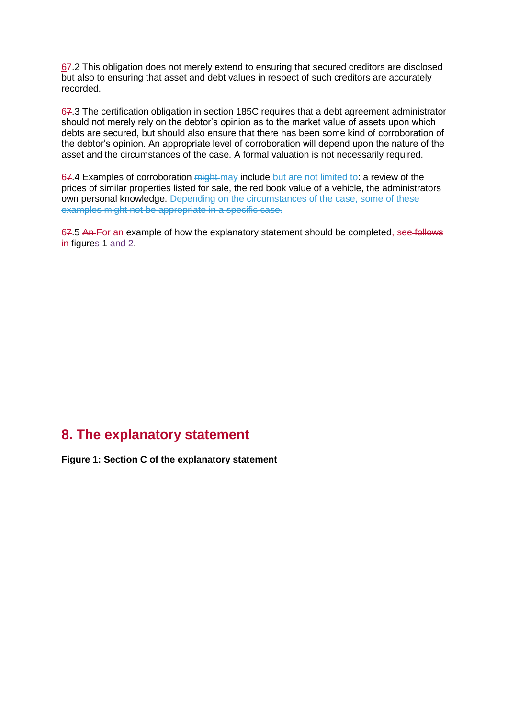67.2 This obligation does not merely extend to ensuring that secured creditors are disclosed but also to ensuring that asset and debt values in respect of such creditors are accurately recorded.

67.3 The certification obligation in section 185C requires that a debt agreement administrator should not merely rely on the debtor's opinion as to the market value of assets upon which debts are secured, but should also ensure that there has been some kind of corroboration of the debtor's opinion. An appropriate level of corroboration will depend upon the nature of the asset and the circumstances of the case. A formal valuation is not necessarily required.

67.4 Examples of corroboration might may include but are not limited to: a review of the prices of similar properties listed for sale, the red book value of a vehicle, the administrators own personal knowledge. Depending on the circumstances of the case, some of these examples might not be appropriate in a specific case.

67.5 An For an example of how the explanatory statement should be completed, see follows in figures 1-and 2.

## **8. The explanatory statement**

**Figure 1: Section C of the explanatory statement**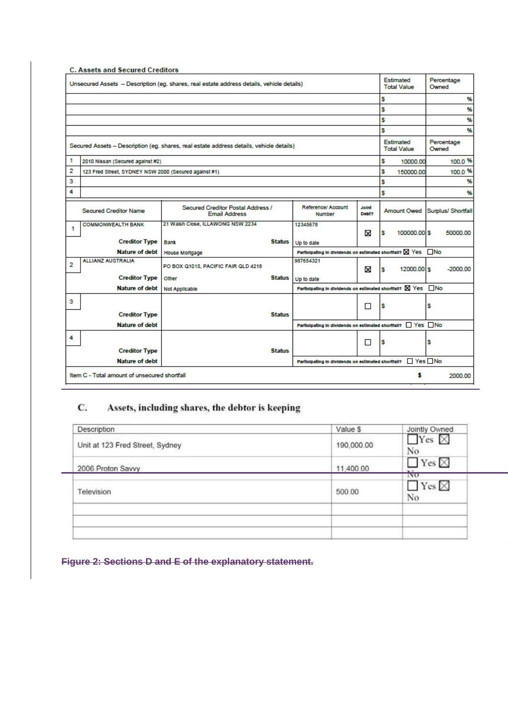|                                                                                         | C. Assets and Secured Creditors                                                           |                                                           |               |                                                              |                       |         | Estimated                       |                     |                     |  |
|-----------------------------------------------------------------------------------------|-------------------------------------------------------------------------------------------|-----------------------------------------------------------|---------------|--------------------------------------------------------------|-----------------------|---------|---------------------------------|---------------------|---------------------|--|
|                                                                                         | Unsecured Assets - Description (eg. shares, real estate address details, vehicle details) |                                                           |               |                                                              |                       |         |                                 | Percentage<br>Owned |                     |  |
|                                                                                         |                                                                                           |                                                           |               |                                                              |                       | s       |                                 |                     | %                   |  |
|                                                                                         |                                                                                           |                                                           |               |                                                              |                       | s       |                                 |                     | %                   |  |
|                                                                                         |                                                                                           |                                                           |               |                                                              |                       | s       |                                 |                     | %                   |  |
|                                                                                         |                                                                                           |                                                           |               |                                                              |                       | s       |                                 |                     | %                   |  |
| Secured Assets - Description (eg. shares, real estate address details, vehicle details) |                                                                                           |                                                           |               |                                                              |                       |         | Estimated<br><b>Total Value</b> |                     | Percentage<br>Owned |  |
| 1                                                                                       | 2010 Nissan (Secured against #2)                                                          |                                                           | s             | 10000.00                                                     |                       | 100.0 % |                                 |                     |                     |  |
| 2                                                                                       | 123 Fred Street, SYDNEY NSW 2000 (Secured against #1)                                     |                                                           | S             | 150000.00                                                    |                       | 100.0 % |                                 |                     |                     |  |
| з                                                                                       |                                                                                           |                                                           | s             |                                                              |                       | %       |                                 |                     |                     |  |
| 4                                                                                       |                                                                                           |                                                           |               |                                                              |                       | \$      |                                 |                     | 96                  |  |
|                                                                                         | <b>Secured Creditor Name</b>                                                              | Secured Creditor Postal Address /<br><b>Email Address</b> |               | <b>Reference/ Account</b><br>Number                          | <b>Joint</b><br>Dobt? |         | <b>Amount Owed</b>              |                     | Surplus/ Shortfall  |  |
| -1                                                                                      | <b>COMMONWEALTH BANK</b>                                                                  | 21 Walsh Close, ILLAWONG NSW 2234                         |               | 12345678                                                     |                       |         |                                 |                     |                     |  |
|                                                                                         | <b>Creditor Type</b>                                                                      | <b>Bank</b>                                               | Status        | Up to date                                                   | X                     | s       | 100000.00 \$                    |                     | 50000.00            |  |
|                                                                                         | <b>Nature of debt</b>                                                                     | House Mortgage                                            |               | Participating in dividends on estimated shortfall? X Yes No  |                       |         |                                 |                     |                     |  |
| 2                                                                                       | <b>ALLIANZ AUSTRALIA</b>                                                                  |                                                           |               | 987654321                                                    |                       |         |                                 |                     |                     |  |
|                                                                                         |                                                                                           | PO BOX Q1015, PACIFIC FAIR QLD 4218                       |               |                                                              | ×                     | s       | 12000.00 \$                     |                     | $-2000.00$          |  |
|                                                                                         | <b>Creditor Type</b>                                                                      | Other                                                     | Status        | Up to date                                                   |                       |         |                                 |                     |                     |  |
|                                                                                         | <b>Nature of debt</b>                                                                     | Not Applicable                                            |               | Participating in dividends on estimated shortfall? X Yes □No |                       |         |                                 |                     |                     |  |
| з                                                                                       |                                                                                           |                                                           |               |                                                              | П                     | s       |                                 | s                   |                     |  |
|                                                                                         | <b>Creditor Type</b>                                                                      |                                                           | <b>Status</b> |                                                              |                       |         |                                 |                     |                     |  |
|                                                                                         | <b>Nature of debt</b>                                                                     |                                                           |               | Participating in dividends on estimated shortfall? Ves No    |                       |         |                                 |                     |                     |  |
| 4                                                                                       |                                                                                           |                                                           |               |                                                              |                       |         |                                 |                     |                     |  |
|                                                                                         | <b>Creditor Type</b>                                                                      |                                                           | <b>Status</b> |                                                              | □                     | s       |                                 | s                   |                     |  |
|                                                                                         | <b>Nature of debt</b>                                                                     |                                                           |               | Participating in dividends on estimated shortfall?           |                       |         | $\Box$ Yes $\Box$ No            |                     |                     |  |
|                                                                                         |                                                                                           |                                                           |               |                                                              |                       |         | Ŝ                               |                     |                     |  |
|                                                                                         | Item C - Total amount of unsecured shortfall<br>2000.00                                   |                                                           |               |                                                              |                       |         |                                 |                     |                     |  |

#### C. Assets, including shares, the debtor is keeping

| <b>Description</b>              | Value \$   | Jointly Owned                                        |
|---------------------------------|------------|------------------------------------------------------|
| Unit at 123 Fred Street, Sydney | 190,000.00 | $\Box$ Yes $\boxtimes$<br>No                         |
| 2006 Proton Savvy               | 11,400.00  | $\Box$ Yes $\boxtimes$<br>$\mathbf{H}$<br><b>INO</b> |
| Television                      | 500.00     | $\Box$ Yes $\boxtimes$<br>No                         |
|                                 |            |                                                      |
|                                 |            |                                                      |

|  |  |  |  | Figure 2: Sections D and E of the explanatory statement. |
|--|--|--|--|----------------------------------------------------------|